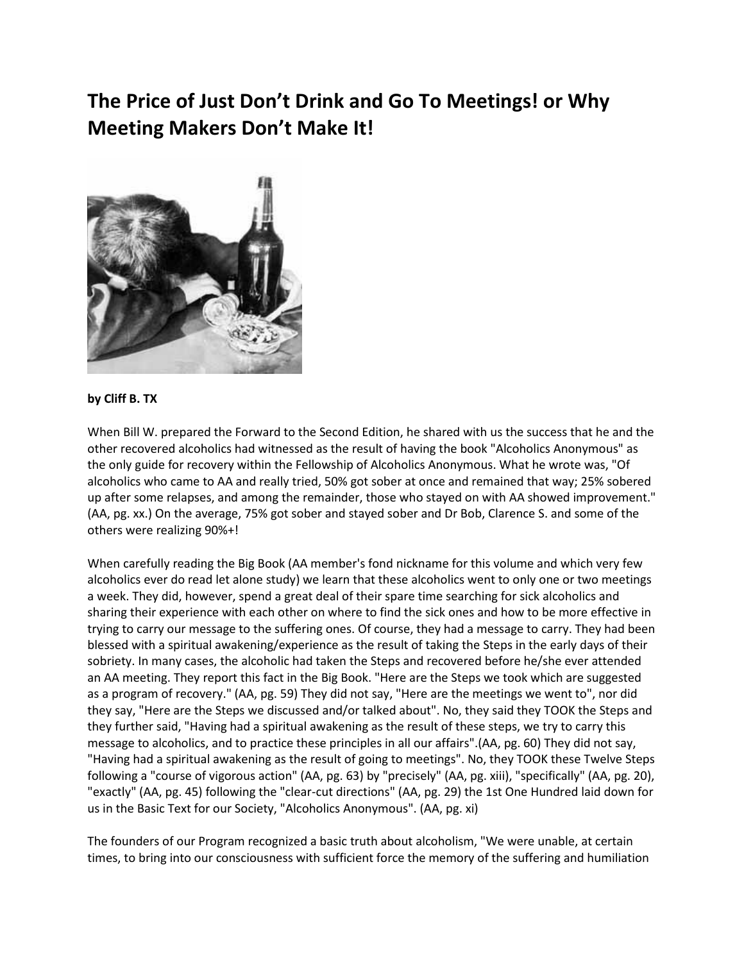## **The Price of Just Don't Drink and Go To Meetings! or Why Meeting Makers Don't Make It!**



## **by Cliff B. TX**

When Bill W. prepared the Forward to the Second Edition, he shared with us the success that he and the other recovered alcoholics had witnessed as the result of having the book "Alcoholics Anonymous" as the only guide for recovery within the Fellowship of Alcoholics Anonymous. What he wrote was, "Of alcoholics who came to AA and really tried, 50% got sober at once and remained that way; 25% sobered up after some relapses, and among the remainder, those who stayed on with AA showed improvement." (AA, pg. xx.) On the average, 75% got sober and stayed sober and Dr Bob, Clarence S. and some of the others were realizing 90%+!

When carefully reading the Big Book (AA member's fond nickname for this volume and which very few alcoholics ever do read let alone study) we learn that these alcoholics went to only one or two meetings a week. They did, however, spend a great deal of their spare time searching for sick alcoholics and sharing their experience with each other on where to find the sick ones and how to be more effective in trying to carry our message to the suffering ones. Of course, they had a message to carry. They had been blessed with a spiritual awakening/experience as the result of taking the Steps in the early days of their sobriety. In many cases, the alcoholic had taken the Steps and recovered before he/she ever attended an AA meeting. They report this fact in the Big Book. "Here are the Steps we took which are suggested as a program of recovery." (AA, pg. 59) They did not say, "Here are the meetings we went to", nor did they say, "Here are the Steps we discussed and/or talked about". No, they said they TOOK the Steps and they further said, "Having had a spiritual awakening as the result of these steps, we try to carry this message to alcoholics, and to practice these principles in all our affairs".(AA, pg. 60) They did not say, "Having had a spiritual awakening as the result of going to meetings". No, they TOOK these Twelve Steps following a "course of vigorous action" (AA, pg. 63) by "precisely" (AA, pg. xiii), "specifically" (AA, pg. 20), "exactly" (AA, pg. 45) following the "clear-cut directions" (AA, pg. 29) the 1st One Hundred laid down for us in the Basic Text for our Society, "Alcoholics Anonymous". (AA, pg. xi)

The founders of our Program recognized a basic truth about alcoholism, "We were unable, at certain times, to bring into our consciousness with sufficient force the memory of the suffering and humiliation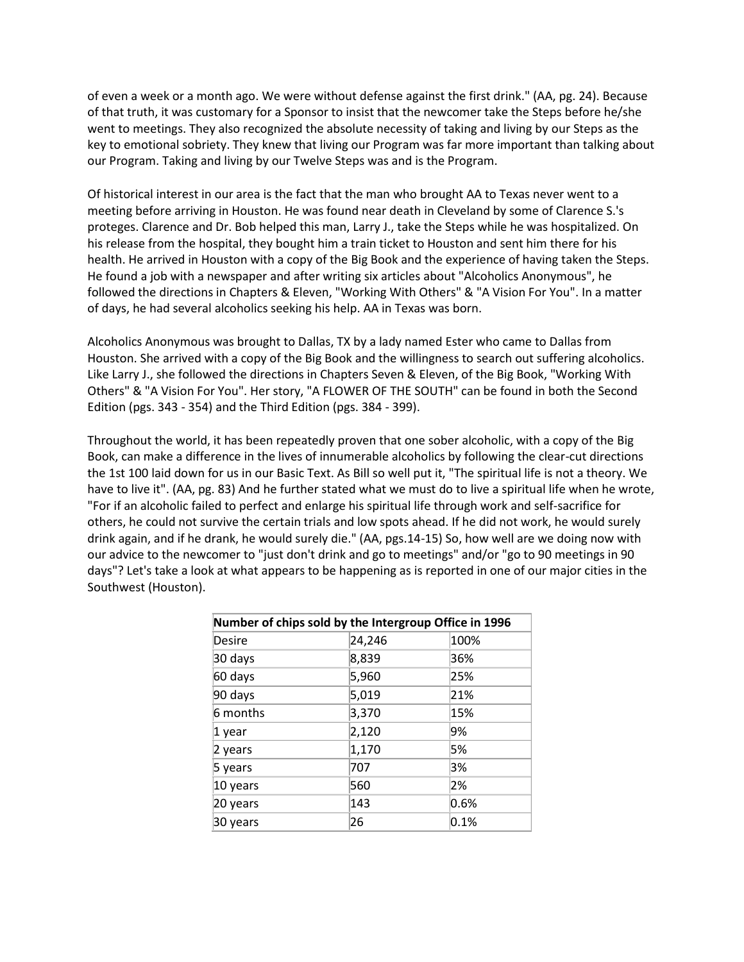of even a week or a month ago. We were without defense against the first drink." (AA, pg. 24). Because of that truth, it was customary for a Sponsor to insist that the newcomer take the Steps before he/she went to meetings. They also recognized the absolute necessity of taking and living by our Steps as the key to emotional sobriety. They knew that living our Program was far more important than talking about our Program. Taking and living by our Twelve Steps was and is the Program.

Of historical interest in our area is the fact that the man who brought AA to Texas never went to a meeting before arriving in Houston. He was found near death in Cleveland by some of Clarence S.'s proteges. Clarence and Dr. Bob helped this man, Larry J., take the Steps while he was hospitalized. On his release from the hospital, they bought him a train ticket to Houston and sent him there for his health. He arrived in Houston with a copy of the Big Book and the experience of having taken the Steps. He found a job with a newspaper and after writing six articles about "Alcoholics Anonymous", he followed the directions in Chapters & Eleven, "Working With Others" & "A Vision For You". In a matter of days, he had several alcoholics seeking his help. AA in Texas was born.

Alcoholics Anonymous was brought to Dallas, TX by a lady named Ester who came to Dallas from Houston. She arrived with a copy of the Big Book and the willingness to search out suffering alcoholics. Like Larry J., she followed the directions in Chapters Seven & Eleven, of the Big Book, "Working With Others" & "A Vision For You". Her story, "A FLOWER OF THE SOUTH" can be found in both the Second Edition (pgs. 343 - 354) and the Third Edition (pgs. 384 - 399).

Throughout the world, it has been repeatedly proven that one sober alcoholic, with a copy of the Big Book, can make a difference in the lives of innumerable alcoholics by following the clear-cut directions the 1st 100 laid down for us in our Basic Text. As Bill so well put it, "The spiritual life is not a theory. We have to live it". (AA, pg. 83) And he further stated what we must do to live a spiritual life when he wrote, "For if an alcoholic failed to perfect and enlarge his spiritual life through work and self-sacrifice for others, he could not survive the certain trials and low spots ahead. If he did not work, he would surely drink again, and if he drank, he would surely die." (AA, pgs.14-15) So, how well are we doing now with our advice to the newcomer to "just don't drink and go to meetings" and/or "go to 90 meetings in 90 days"? Let's take a look at what appears to be happening as is reported in one of our major cities in the Southwest (Houston).

| Number of chips sold by the Intergroup Office in 1996 |        |      |
|-------------------------------------------------------|--------|------|
| Desire                                                | 24,246 | 100% |
| 30 days                                               | 8,839  | 36%  |
| 60 days                                               | 5,960  | 25%  |
| 90 days                                               | 5,019  | 21%  |
| 6 months                                              | 3,370  | 15%  |
| 1 year                                                | 2,120  | 9%   |
| 2 years                                               | 1,170  | 5%   |
| 5 years                                               | 707    | 3%   |
| 10 years                                              | 560    | 2%   |
| 20 years                                              | 143    | 0.6% |
| 30 years                                              | 26     | 0.1% |